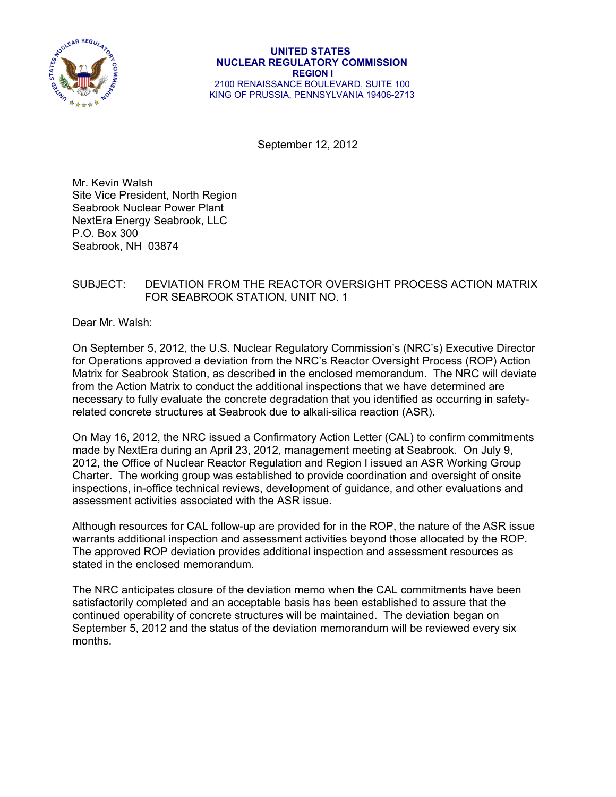

September 12, 2012

Mr. Kevin Walsh Site Vice President, North Region Seabrook Nuclear Power Plant NextEra Energy Seabrook, LLC P.O. Box 300 Seabrook, NH 03874

## SUBJECT: DEVIATION FROM THE REACTOR OVERSIGHT PROCESS ACTION MATRIX FOR SEABROOK STATION, UNIT NO. 1

Dear Mr. Walsh:

On September 5, 2012, the U.S. Nuclear Regulatory Commission's (NRC's) Executive Director for Operations approved a deviation from the NRC's Reactor Oversight Process (ROP) Action Matrix for Seabrook Station, as described in the enclosed memorandum. The NRC will deviate from the Action Matrix to conduct the additional inspections that we have determined are necessary to fully evaluate the concrete degradation that you identified as occurring in safetyrelated concrete structures at Seabrook due to alkali-silica reaction (ASR).

On May 16, 2012, the NRC issued a Confirmatory Action Letter (CAL) to confirm commitments made by NextEra during an April 23, 2012, management meeting at Seabrook. On July 9, 2012, the Office of Nuclear Reactor Regulation and Region I issued an ASR Working Group Charter. The working group was established to provide coordination and oversight of onsite inspections, in-office technical reviews, development of guidance, and other evaluations and assessment activities associated with the ASR issue.

Although resources for CAL follow-up are provided for in the ROP, the nature of the ASR issue warrants additional inspection and assessment activities beyond those allocated by the ROP. The approved ROP deviation provides additional inspection and assessment resources as stated in the enclosed memorandum.

The NRC anticipates closure of the deviation memo when the CAL commitments have been satisfactorily completed and an acceptable basis has been established to assure that the continued operability of concrete structures will be maintained. The deviation began on September 5, 2012 and the status of the deviation memorandum will be reviewed every six months.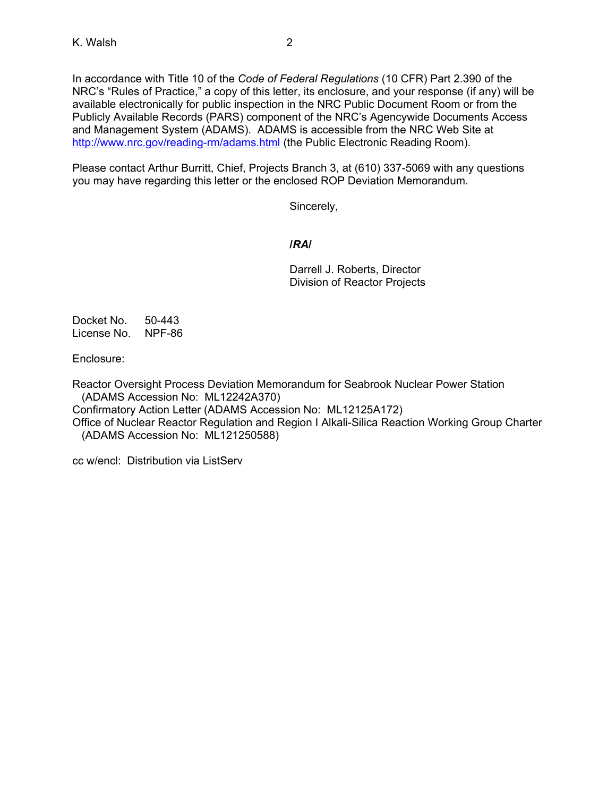In accordance with Title 10 of the *Code of Federal Regulations* (10 CFR) Part 2.390 of the NRC's "Rules of Practice," a copy of this letter, its enclosure, and your response (if any) will be available electronically for public inspection in the NRC Public Document Room or from the Publicly Available Records (PARS) component of the NRC's Agencywide Documents Access and Management System (ADAMS). ADAMS is accessible from the NRC Web Site at http://www.nrc.gov/reading-rm/adams.html (the Public Electronic Reading Room).

Please contact Arthur Burritt, Chief, Projects Branch 3, at (610) 337-5069 with any questions you may have regarding this letter or the enclosed ROP Deviation Memorandum.

Sincerely,

## **/***RA***/**

 Darrell J. Roberts, Director Division of Reactor Projects

Docket No. 50-443 License No. NPF-86

Enclosure:

Reactor Oversight Process Deviation Memorandum for Seabrook Nuclear Power Station (ADAMS Accession No: ML12242A370) Confirmatory Action Letter (ADAMS Accession No: ML12125A172)

Office of Nuclear Reactor Regulation and Region I Alkali-Silica Reaction Working Group Charter

(ADAMS Accession No: ML121250588)

cc w/encl: Distribution via ListServ